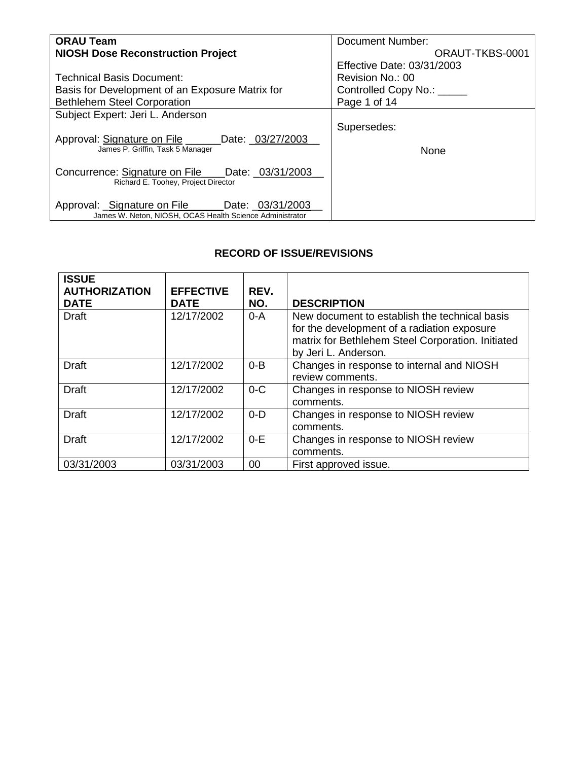| <b>ORAU Team</b>                                                                       | Document Number:           |
|----------------------------------------------------------------------------------------|----------------------------|
| <b>NIOSH Dose Reconstruction Project</b>                                               | ORAUT-TKBS-0001            |
|                                                                                        | Effective Date: 03/31/2003 |
| <b>Technical Basis Document:</b>                                                       | Revision No.: 00           |
| Basis for Development of an Exposure Matrix for                                        | Controlled Copy No.: _____ |
| <b>Bethlehem Steel Corporation</b>                                                     | Page 1 of 14               |
| Subject Expert: Jeri L. Anderson                                                       |                            |
|                                                                                        | Supersedes:                |
| Approval: Signature on File _____<br>Date: _03/27/2003                                 |                            |
| James P. Griffin, Task 5 Manager                                                       | <b>None</b>                |
|                                                                                        |                            |
| Concurrence: Signature on File Date: 03/31/2003<br>Richard E. Toohey, Project Director |                            |
|                                                                                        |                            |
| Approval: Signature on File ______ Date: _03/31/2003                                   |                            |
| James W. Neton, NIOSH, OCAS Health Science Administrator                               |                            |

## **RECORD OF ISSUE/REVISIONS**

| <b>ISSUE</b><br><b>AUTHORIZATION</b><br><b>DATE</b> | <b>EFFECTIVE</b><br><b>DATE</b> | REV.<br>NO. | <b>DESCRIPTION</b>                                                                                                                                                        |
|-----------------------------------------------------|---------------------------------|-------------|---------------------------------------------------------------------------------------------------------------------------------------------------------------------------|
| <b>Draft</b>                                        | 12/17/2002                      | $0-A$       | New document to establish the technical basis<br>for the development of a radiation exposure<br>matrix for Bethlehem Steel Corporation. Initiated<br>by Jeri L. Anderson. |
| <b>Draft</b>                                        | 12/17/2002                      | $0 - B$     | Changes in response to internal and NIOSH<br>review comments.                                                                                                             |
| <b>Draft</b>                                        | 12/17/2002                      | $0 - C$     | Changes in response to NIOSH review<br>comments.                                                                                                                          |
| <b>Draft</b>                                        | 12/17/2002                      | $0 - D$     | Changes in response to NIOSH review<br>comments.                                                                                                                          |
| <b>Draft</b>                                        | 12/17/2002                      | $0-E$       | Changes in response to NIOSH review<br>comments.                                                                                                                          |
| 03/31/2003                                          | 03/31/2003                      | 00          | First approved issue.                                                                                                                                                     |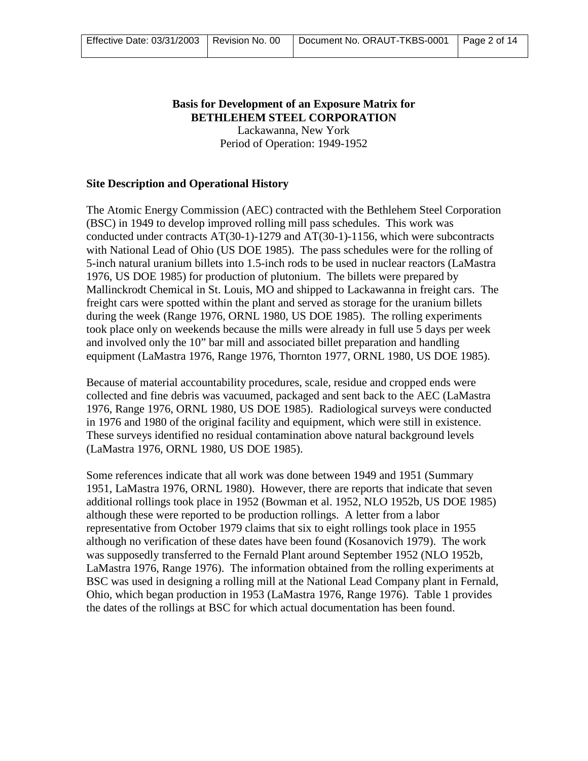# **Basis for Development of an Exposure Matrix for BETHLEHEM STEEL CORPORATION**

Lackawanna, New York Period of Operation: 1949-1952

### **Site Description and Operational History**

The Atomic Energy Commission (AEC) contracted with the Bethlehem Steel Corporation (BSC) in 1949 to develop improved rolling mill pass schedules. This work was conducted under contracts AT(30-1)-1279 and AT(30-1)-1156, which were subcontracts with National Lead of Ohio (US DOE 1985). The pass schedules were for the rolling of 5-inch natural uranium billets into 1.5-inch rods to be used in nuclear reactors (LaMastra 1976, US DOE 1985) for production of plutonium. The billets were prepared by Mallinckrodt Chemical in St. Louis, MO and shipped to Lackawanna in freight cars. The freight cars were spotted within the plant and served as storage for the uranium billets during the week (Range 1976, ORNL 1980, US DOE 1985). The rolling experiments took place only on weekends because the mills were already in full use 5 days per week and involved only the 10" bar mill and associated billet preparation and handling equipment (LaMastra 1976, Range 1976, Thornton 1977, ORNL 1980, US DOE 1985).

Because of material accountability procedures, scale, residue and cropped ends were collected and fine debris was vacuumed, packaged and sent back to the AEC (LaMastra 1976, Range 1976, ORNL 1980, US DOE 1985). Radiological surveys were conducted in 1976 and 1980 of the original facility and equipment, which were still in existence. These surveys identified no residual contamination above natural background levels (LaMastra 1976, ORNL 1980, US DOE 1985).

Some references indicate that all work was done between 1949 and 1951 (Summary 1951, LaMastra 1976, ORNL 1980). However, there are reports that indicate that seven additional rollings took place in 1952 (Bowman et al. 1952, NLO 1952b, US DOE 1985) although these were reported to be production rollings. A letter from a labor representative from October 1979 claims that six to eight rollings took place in 1955 although no verification of these dates have been found (Kosanovich 1979). The work was supposedly transferred to the Fernald Plant around September 1952 (NLO 1952b, LaMastra 1976, Range 1976). The information obtained from the rolling experiments at BSC was used in designing a rolling mill at the National Lead Company plant in Fernald, Ohio, which began production in 1953 (LaMastra 1976, Range 1976). Table 1 provides the dates of the rollings at BSC for which actual documentation has been found.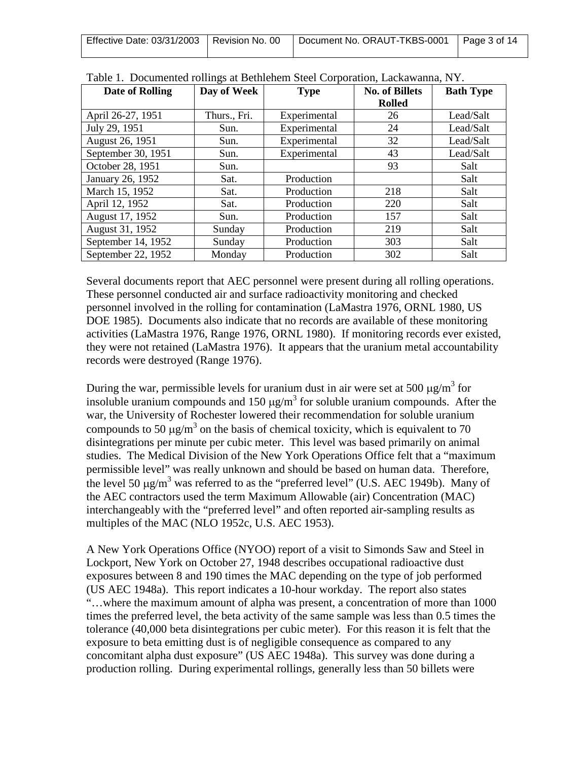| Effective Date: 03/31/2003   Revision No. 00 | Document No. ORAUT-TKBS-0001   Page 3 of 14 |  |
|----------------------------------------------|---------------------------------------------|--|
|                                              |                                             |  |

| Date of Rolling    | Day of Week  | <b>Type</b>  | <b>No. of Billets</b> | <b>Bath Type</b> |
|--------------------|--------------|--------------|-----------------------|------------------|
|                    |              |              | <b>Rolled</b>         |                  |
| April 26-27, 1951  | Thurs., Fri. | Experimental | 26                    | Lead/Salt        |
| July 29, 1951      | Sun.         | Experimental | 24                    | Lead/Salt        |
| August 26, 1951    | Sun.         | Experimental | 32                    | Lead/Salt        |
| September 30, 1951 | Sun.         | Experimental | 43                    | Lead/Salt        |
| October 28, 1951   | Sun.         |              | 93                    | Salt             |
| January 26, 1952   | Sat.         | Production   |                       | Salt             |
| March 15, 1952     | Sat.         | Production   | 218                   | Salt             |
| April 12, 1952     | Sat.         | Production   | 220                   | Salt             |
| August 17, 1952    | Sun.         | Production   | 157                   | Salt             |
| August 31, 1952    | Sunday       | Production   | 219                   | Salt             |
| September 14, 1952 | Sunday       | Production   | 303                   | Salt             |
| September 22, 1952 | Monday       | Production   | 302                   | Salt             |

|  |  |  | Table 1. Documented rollings at Bethlehem Steel Corporation, Lackawanna, NY. |  |
|--|--|--|------------------------------------------------------------------------------|--|
|  |  |  |                                                                              |  |

Several documents report that AEC personnel were present during all rolling operations. These personnel conducted air and surface radioactivity monitoring and checked personnel involved in the rolling for contamination (LaMastra 1976, ORNL 1980, US DOE 1985). Documents also indicate that no records are available of these monitoring activities (LaMastra 1976, Range 1976, ORNL 1980). If monitoring records ever existed, they were not retained (LaMastra 1976). It appears that the uranium metal accountability records were destroyed (Range 1976).

During the war, permissible levels for uranium dust in air were set at 500  $\mu$ g/m<sup>3</sup> for insoluble uranium compounds and 150  $\mu$ g/m<sup>3</sup> for soluble uranium compounds. After the war, the University of Rochester lowered their recommendation for soluble uranium compounds to 50  $\mu$ g/m<sup>3</sup> on the basis of chemical toxicity, which is equivalent to 70 disintegrations per minute per cubic meter. This level was based primarily on animal studies. The Medical Division of the New York Operations Office felt that a "maximum permissible level" was really unknown and should be based on human data. Therefore, the level 50  $\mu$ g/m<sup>3</sup> was referred to as the "preferred level" (U.S. AEC 1949b). Many of the AEC contractors used the term Maximum Allowable (air) Concentration (MAC) interchangeably with the "preferred level" and often reported air-sampling results as multiples of the MAC (NLO 1952c, U.S. AEC 1953).

A New York Operations Office (NYOO) report of a visit to Simonds Saw and Steel in Lockport, New York on October 27, 1948 describes occupational radioactive dust exposures between 8 and 190 times the MAC depending on the type of job performed (US AEC 1948a). This report indicates a 10-hour workday. The report also states "…where the maximum amount of alpha was present, a concentration of more than 1000 times the preferred level, the beta activity of the same sample was less than 0.5 times the tolerance (40,000 beta disintegrations per cubic meter). For this reason it is felt that the exposure to beta emitting dust is of negligible consequence as compared to any concomitant alpha dust exposure" (US AEC 1948a). This survey was done during a production rolling. During experimental rollings, generally less than 50 billets were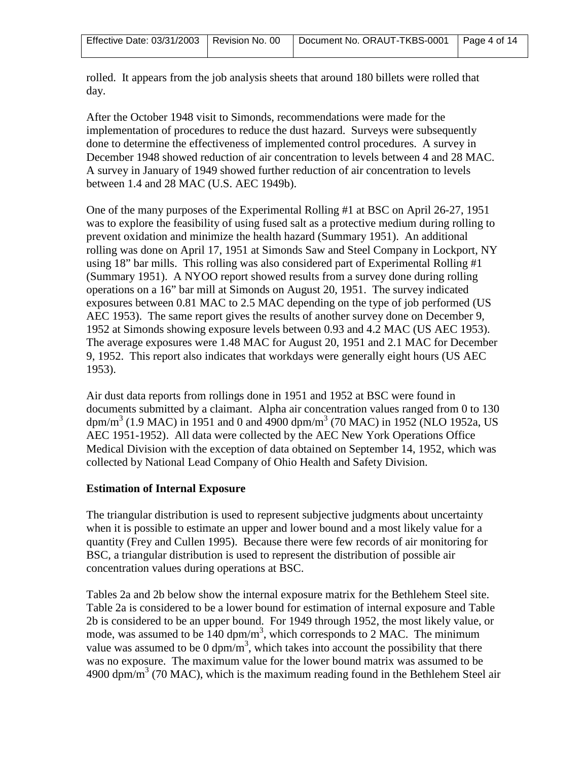rolled. It appears from the job analysis sheets that around 180 billets were rolled that day.

After the October 1948 visit to Simonds, recommendations were made for the implementation of procedures to reduce the dust hazard. Surveys were subsequently done to determine the effectiveness of implemented control procedures. A survey in December 1948 showed reduction of air concentration to levels between 4 and 28 MAC. A survey in January of 1949 showed further reduction of air concentration to levels between 1.4 and 28 MAC (U.S. AEC 1949b).

One of the many purposes of the Experimental Rolling #1 at BSC on April 26-27, 1951 was to explore the feasibility of using fused salt as a protective medium during rolling to prevent oxidation and minimize the health hazard (Summary 1951). An additional rolling was done on April 17, 1951 at Simonds Saw and Steel Company in Lockport, NY using 18" bar mills. This rolling was also considered part of Experimental Rolling #1 (Summary 1951). A NYOO report showed results from a survey done during rolling operations on a 16" bar mill at Simonds on August 20, 1951. The survey indicated exposures between 0.81 MAC to 2.5 MAC depending on the type of job performed (US AEC 1953). The same report gives the results of another survey done on December 9, 1952 at Simonds showing exposure levels between 0.93 and 4.2 MAC (US AEC 1953). The average exposures were 1.48 MAC for August 20, 1951 and 2.1 MAC for December 9, 1952. This report also indicates that workdays were generally eight hours (US AEC 1953).

Air dust data reports from rollings done in 1951 and 1952 at BSC were found in documents submitted by a claimant. Alpha air concentration values ranged from 0 to 130 dpm/m<sup>3</sup> (1.9 MAC) in 1951 and 0 and 4900 dpm/m<sup>3</sup> (70 MAC) in 1952 (NLO 1952a, US AEC 1951-1952). All data were collected by the AEC New York Operations Office Medical Division with the exception of data obtained on September 14, 1952, which was collected by National Lead Company of Ohio Health and Safety Division.

## **Estimation of Internal Exposure**

The triangular distribution is used to represent subjective judgments about uncertainty when it is possible to estimate an upper and lower bound and a most likely value for a quantity (Frey and Cullen 1995). Because there were few records of air monitoring for BSC, a triangular distribution is used to represent the distribution of possible air concentration values during operations at BSC.

Tables 2a and 2b below show the internal exposure matrix for the Bethlehem Steel site. Table 2a is considered to be a lower bound for estimation of internal exposure and Table 2b is considered to be an upper bound. For 1949 through 1952, the most likely value, or mode, was assumed to be  $140 \text{ dpm/m}^3$ , which corresponds to 2 MAC. The minimum value was assumed to be 0 dpm/ $m<sup>3</sup>$ , which takes into account the possibility that there was no exposure. The maximum value for the lower bound matrix was assumed to be 4900 dpm/m<sup>3</sup> (70 MAC), which is the maximum reading found in the Bethlehem Steel air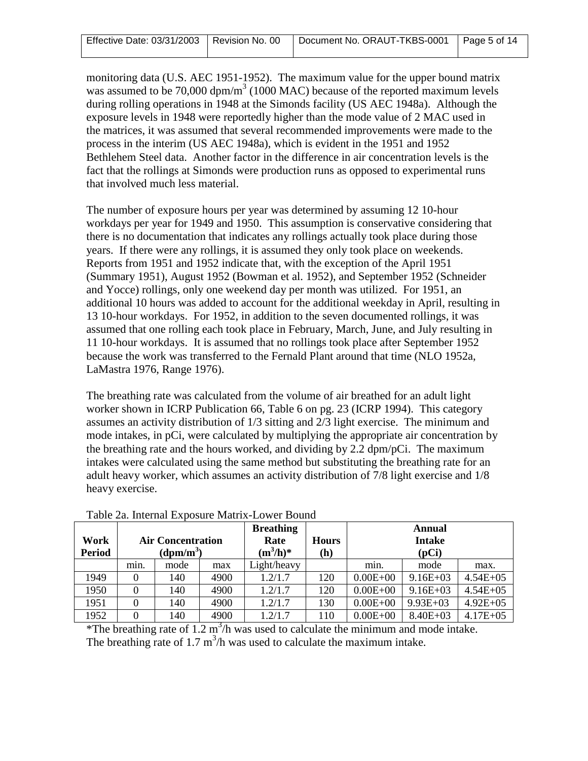|  |  | Effective Date: 03/31/2003   Revision No. 00   Document No. ORAUT-TKBS-0001   Page 5 of 14 |  |
|--|--|--------------------------------------------------------------------------------------------|--|
|--|--|--------------------------------------------------------------------------------------------|--|

monitoring data (U.S. AEC 1951-1952). The maximum value for the upper bound matrix was assumed to be  $70,000$  dpm/m<sup>3</sup> (1000 MAC) because of the reported maximum levels during rolling operations in 1948 at the Simonds facility (US AEC 1948a). Although the exposure levels in 1948 were reportedly higher than the mode value of 2 MAC used in the matrices, it was assumed that several recommended improvements were made to the process in the interim (US AEC 1948a), which is evident in the 1951 and 1952 Bethlehem Steel data. Another factor in the difference in air concentration levels is the fact that the rollings at Simonds were production runs as opposed to experimental runs that involved much less material.

The number of exposure hours per year was determined by assuming 12 10-hour workdays per year for 1949 and 1950. This assumption is conservative considering that there is no documentation that indicates any rollings actually took place during those years. If there were any rollings, it is assumed they only took place on weekends. Reports from 1951 and 1952 indicate that, with the exception of the April 1951 (Summary 1951), August 1952 (Bowman et al. 1952), and September 1952 (Schneider and Yocce) rollings, only one weekend day per month was utilized. For 1951, an additional 10 hours was added to account for the additional weekday in April, resulting in 13 10-hour workdays. For 1952, in addition to the seven documented rollings, it was assumed that one rolling each took place in February, March, June, and July resulting in 11 10-hour workdays. It is assumed that no rollings took place after September 1952 because the work was transferred to the Fernald Plant around that time (NLO 1952a, LaMastra 1976, Range 1976).

The breathing rate was calculated from the volume of air breathed for an adult light worker shown in ICRP Publication 66, Table 6 on pg. 23 (ICRP 1994). This category assumes an activity distribution of 1/3 sitting and 2/3 light exercise. The minimum and mode intakes, in pCi, were calculated by multiplying the appropriate air concentration by the breathing rate and the hours worked, and dividing by 2.2 dpm/pCi. The maximum intakes were calculated using the same method but substituting the breathing rate for an adult heavy worker, which assumes an activity distribution of 7/8 light exercise and 1/8 heavy exercise.

| Tuoiv muuttiini miiposulv muutin mon ol bounu |                          |      |      |                  |     |               |               |              |
|-----------------------------------------------|--------------------------|------|------|------------------|-----|---------------|---------------|--------------|
|                                               |                          |      |      | <b>Breathing</b> |     |               | <b>Annual</b> |              |
| Work                                          | <b>Air Concentration</b> |      | Rate | <b>Hours</b>     |     | <b>Intake</b> |               |              |
| <b>Period</b>                                 | $(dpm/m^3)$              |      |      | $(m^3/h)^*$      | (h) | (pCi)         |               |              |
|                                               | min.                     | mode | max  | Light/heavy      |     | min.          | mode          | max.         |
| 1949                                          | $\Omega$                 | 140  | 4900 | 1.2/1.7          | 120 | $0.00E + 00$  | $9.16E + 03$  | $4.54E + 05$ |
| 1950                                          | $\Omega$                 | 140  | 4900 | 1.2/1.7          | 120 | $0.00E + 00$  | $9.16E + 03$  | $4.54E + 05$ |
| 1951                                          | 0                        | 140  | 4900 | 1.2/1.7          | 130 | $0.00E + 00$  | $9.93E + 03$  | $4.92E + 05$ |
| 1952                                          | $\Omega$                 | 140  | 4900 | 1.2/1.7          | 110 | $0.00E + 00$  | $8.40E + 03$  | $4.17E + 05$ |

Table 2a. Internal Exposure Matrix-Lower Bound

\*The breathing rate of  $1.2 \text{ m}^3/\text{h}$  was used to calculate the minimum and mode intake. The breathing rate of 1.7  $m^3/h$  was used to calculate the maximum intake.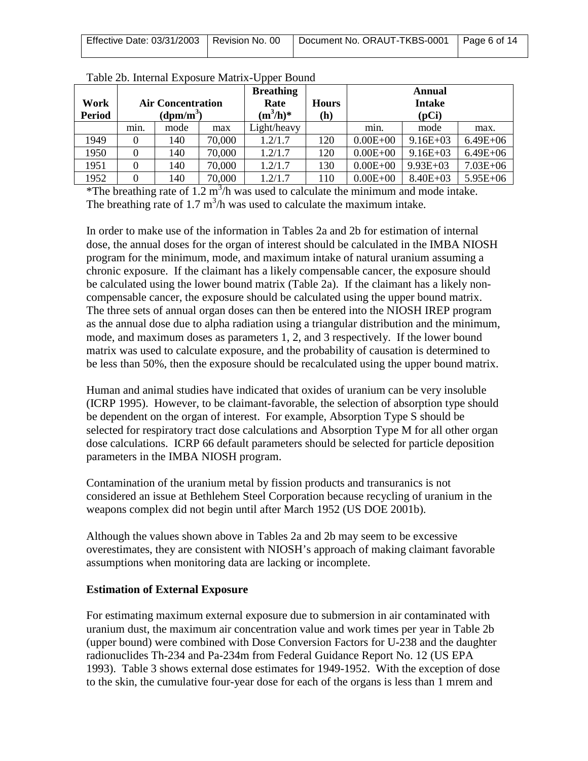| Effective Date: 03/31/2003   Revision No. 00 | ◯ Document No. ORAUT-TKBS-0001 Page 6 of 14 |  |
|----------------------------------------------|---------------------------------------------|--|
|                                              |                                             |  |

| Work<br><b>Period</b> |      | <b>Air Concentration</b><br>$(dpm/m^3)$ |        | <b>Breathing</b><br>Rate<br>$(m^3/h)^*$ | <b>Hours</b><br>(h) | <b>Annual</b><br><b>Intake</b><br>(pCi) |              |              |
|-----------------------|------|-----------------------------------------|--------|-----------------------------------------|---------------------|-----------------------------------------|--------------|--------------|
|                       | min. | mode                                    | max    | Light/heavy                             |                     | min.                                    | mode         | max.         |
| 1949                  | 0    | 140                                     | 70,000 | 1.2/1.7                                 | 120                 | $0.00E + 00$                            | $9.16E + 03$ | $6.49E + 06$ |
| 1950                  | 0    | 140                                     | 70,000 | 1.2/1.7                                 | 120                 | $0.00E + 00$                            | $9.16E + 03$ | $6.49E + 06$ |
| 1951                  | 0    | 140                                     | 70,000 | 1.2/1.7                                 | 130                 | $0.00E + 00$                            | $9.93E + 03$ | $7.03E + 06$ |
| 1952                  | 0    | 140                                     | 70,000 | 1.2/1.7                                 | 110                 | $0.00E + 00$                            | $8.40E + 03$ | $5.95E + 06$ |

|  | Table 2b. Internal Exposure Matrix-Upper Bound |  |  |
|--|------------------------------------------------|--|--|
|  |                                                |  |  |

\*The breathing rate of  $1.2 \text{ m}^3/\text{h}$  was used to calculate the minimum and mode intake. The breathing rate of 1.7  $m^3/h$  was used to calculate the maximum intake.

In order to make use of the information in Tables 2a and 2b for estimation of internal dose, the annual doses for the organ of interest should be calculated in the IMBA NIOSH program for the minimum, mode, and maximum intake of natural uranium assuming a chronic exposure. If the claimant has a likely compensable cancer, the exposure should be calculated using the lower bound matrix (Table 2a). If the claimant has a likely noncompensable cancer, the exposure should be calculated using the upper bound matrix. The three sets of annual organ doses can then be entered into the NIOSH IREP program as the annual dose due to alpha radiation using a triangular distribution and the minimum, mode, and maximum doses as parameters 1, 2, and 3 respectively. If the lower bound matrix was used to calculate exposure, and the probability of causation is determined to be less than 50%, then the exposure should be recalculated using the upper bound matrix.

Human and animal studies have indicated that oxides of uranium can be very insoluble (ICRP 1995). However, to be claimant-favorable, the selection of absorption type should be dependent on the organ of interest. For example, Absorption Type S should be selected for respiratory tract dose calculations and Absorption Type M for all other organ dose calculations. ICRP 66 default parameters should be selected for particle deposition parameters in the IMBA NIOSH program.

Contamination of the uranium metal by fission products and transuranics is not considered an issue at Bethlehem Steel Corporation because recycling of uranium in the weapons complex did not begin until after March 1952 (US DOE 2001b).

Although the values shown above in Tables 2a and 2b may seem to be excessive overestimates, they are consistent with NIOSH's approach of making claimant favorable assumptions when monitoring data are lacking or incomplete.

#### **Estimation of External Exposure**

For estimating maximum external exposure due to submersion in air contaminated with uranium dust, the maximum air concentration value and work times per year in Table 2b (upper bound) were combined with Dose Conversion Factors for U-238 and the daughter radionuclides Th-234 and Pa-234m from Federal Guidance Report No. 12 (US EPA 1993). Table 3 shows external dose estimates for 1949-1952. With the exception of dose to the skin, the cumulative four-year dose for each of the organs is less than 1 mrem and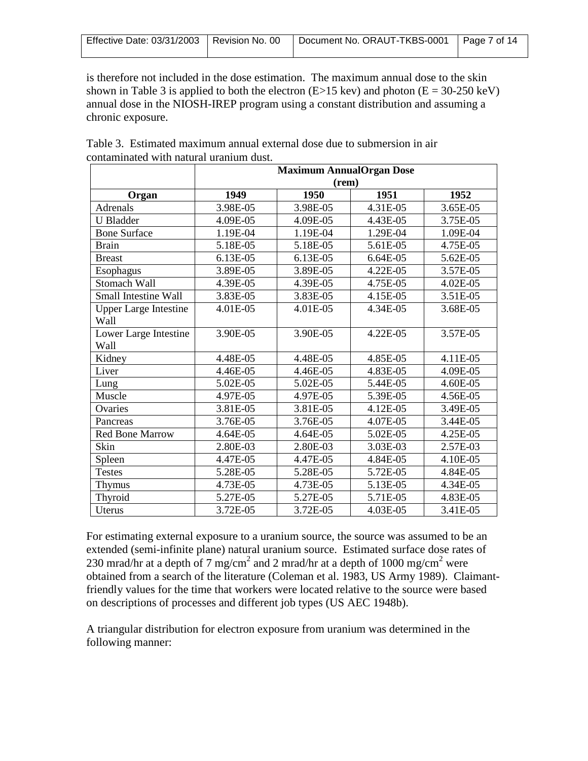| Effective Date: 03/31/2003   Revision No. 00<br>Document No. ORAUT-TKBS-0001   Page 7 of 14 |
|---------------------------------------------------------------------------------------------|
|---------------------------------------------------------------------------------------------|

is therefore not included in the dose estimation. The maximum annual dose to the skin shown in Table 3 is applied to both the electron  $(E>15 \text{ keV})$  and photon  $(E = 30-250 \text{ keV})$ annual dose in the NIOSH-IREP program using a constant distribution and assuming a chronic exposure.

|                               | <b>Maximum AnnualOrgan Dose</b> |          |          |          |  |  |  |
|-------------------------------|---------------------------------|----------|----------|----------|--|--|--|
|                               | (rem)                           |          |          |          |  |  |  |
| Organ                         | 1949                            | 1950     | 1951     | 1952     |  |  |  |
| <b>Adrenals</b>               | 3.98E-05                        | 3.98E-05 | 4.31E-05 | 3.65E-05 |  |  |  |
| <b>U</b> Bladder              | 4.09E-05                        | 4.09E-05 | 4.43E-05 | 3.75E-05 |  |  |  |
| <b>Bone Surface</b>           | 1.19E-04                        | 1.19E-04 | 1.29E-04 | 1.09E-04 |  |  |  |
| <b>Brain</b>                  | 5.18E-05                        | 5.18E-05 | 5.61E-05 | 4.75E-05 |  |  |  |
| <b>Breast</b>                 | $6.13E-0.5$                     | 6.13E-05 | 6.64E-05 | 5.62E-05 |  |  |  |
| Esophagus                     | 3.89E-05                        | 3.89E-05 | 4.22E-05 | 3.57E-05 |  |  |  |
| <b>Stomach Wall</b>           | 4.39E-05                        | 4.39E-05 | 4.75E-05 | 4.02E-05 |  |  |  |
| Small Intestine Wall          | 3.83E-05                        | 3.83E-05 | 4.15E-05 | 3.51E-05 |  |  |  |
| <b>Upper Large Intestine</b>  | 4.01E-05                        | 4.01E-05 | 4.34E-05 | 3.68E-05 |  |  |  |
| Wall                          |                                 |          |          |          |  |  |  |
| Lower Large Intestine<br>Wall | 3.90E-05                        | 3.90E-05 | 4.22E-05 | 3.57E-05 |  |  |  |
| Kidney                        | 4.48E-05                        | 4.48E-05 | 4.85E-05 | 4.11E-05 |  |  |  |
| Liver                         | 4.46E-05                        | 4.46E-05 | 4.83E-05 | 4.09E-05 |  |  |  |
| Lung                          | 5.02E-05                        | 5.02E-05 | 5.44E-05 | 4.60E-05 |  |  |  |
| Muscle                        | 4.97E-05                        | 4.97E-05 | 5.39E-05 | 4.56E-05 |  |  |  |
| Ovaries                       | 3.81E-05                        | 3.81E-05 | 4.12E-05 | 3.49E-05 |  |  |  |
| Pancreas                      | 3.76E-05                        | 3.76E-05 | 4.07E-05 | 3.44E-05 |  |  |  |
| <b>Red Bone Marrow</b>        | 4.64E-05                        | 4.64E-05 | 5.02E-05 | 4.25E-05 |  |  |  |
| Skin                          | 2.80E-03                        | 2.80E-03 | 3.03E-03 | 2.57E-03 |  |  |  |
| Spleen                        | 4.47E-05                        | 4.47E-05 | 4.84E-05 | 4.10E-05 |  |  |  |
| <b>Testes</b>                 | 5.28E-05                        | 5.28E-05 | 5.72E-05 | 4.84E-05 |  |  |  |
| Thymus                        | 4.73E-05                        | 4.73E-05 | 5.13E-05 | 4.34E-05 |  |  |  |
| Thyroid                       | 5.27E-05                        | 5.27E-05 | 5.71E-05 | 4.83E-05 |  |  |  |
| Uterus                        | 3.72E-05                        | 3.72E-05 | 4.03E-05 | 3.41E-05 |  |  |  |

Table 3. Estimated maximum annual external dose due to submersion in air contaminated with natural uranium dust.

For estimating external exposure to a uranium source, the source was assumed to be an extended (semi-infinite plane) natural uranium source. Estimated surface dose rates of 230 mrad/hr at a depth of 7 mg/cm<sup>2</sup> and 2 mrad/hr at a depth of 1000 mg/cm<sup>2</sup> were obtained from a search of the literature (Coleman et al. 1983, US Army 1989). Claimantfriendly values for the time that workers were located relative to the source were based on descriptions of processes and different job types (US AEC 1948b).

A triangular distribution for electron exposure from uranium was determined in the following manner: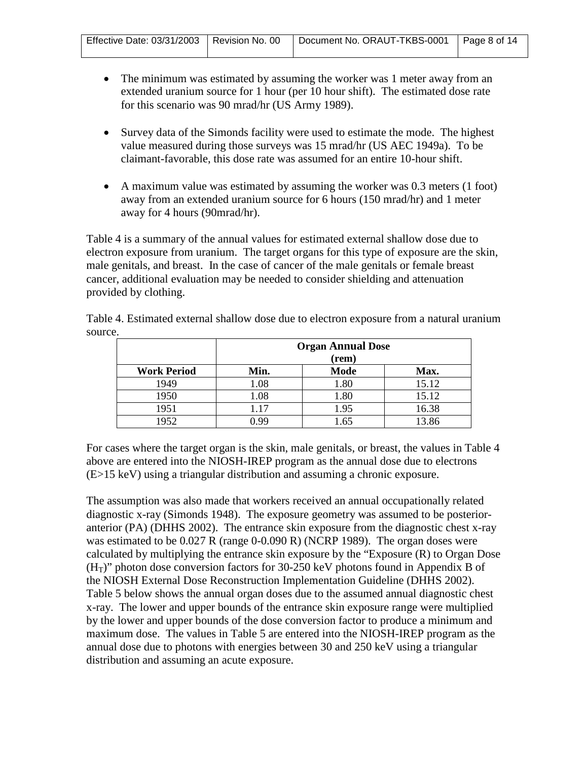| Effective Date: 03/31/2003   Revision No. 00   Document No. ORAUT-TKBS-0001   Page 8 of 14 |
|--------------------------------------------------------------------------------------------|
|--------------------------------------------------------------------------------------------|

- The minimum was estimated by assuming the worker was 1 meter away from an extended uranium source for 1 hour (per 10 hour shift). The estimated dose rate for this scenario was 90 mrad/hr (US Army 1989).
- Survey data of the Simonds facility were used to estimate the mode. The highest value measured during those surveys was 15 mrad/hr (US AEC 1949a). To be claimant-favorable, this dose rate was assumed for an entire 10-hour shift.
- A maximum value was estimated by assuming the worker was 0.3 meters (1 foot) away from an extended uranium source for 6 hours (150 mrad/hr) and 1 meter away for 4 hours (90mrad/hr).

Table 4 is a summary of the annual values for estimated external shallow dose due to electron exposure from uranium. The target organs for this type of exposure are the skin, male genitals, and breast. In the case of cancer of the male genitals or female breast cancer, additional evaluation may be needed to consider shielding and attenuation provided by clothing.

Table 4. Estimated external shallow dose due to electron exposure from a natural uranium source.

|                    | <b>Organ Annual Dose</b> |       |       |  |  |  |  |  |
|--------------------|--------------------------|-------|-------|--|--|--|--|--|
|                    |                          | (rem) |       |  |  |  |  |  |
| <b>Work Period</b> | Min.                     | Mode  | Max.  |  |  |  |  |  |
| 1949               | 1.08                     | 1.80  | 15.12 |  |  |  |  |  |
| 1950               | 1.08                     | 1.80  | 15.12 |  |  |  |  |  |
| 1951               | 1.17                     | 1.95  | 16.38 |  |  |  |  |  |
| 1952               | -QQ                      | .65   | 13.86 |  |  |  |  |  |

For cases where the target organ is the skin, male genitals, or breast, the values in Table 4 above are entered into the NIOSH-IREP program as the annual dose due to electrons (E>15 keV) using a triangular distribution and assuming a chronic exposure.

The assumption was also made that workers received an annual occupationally related diagnostic x-ray (Simonds 1948). The exposure geometry was assumed to be posterioranterior (PA) (DHHS 2002). The entrance skin exposure from the diagnostic chest x-ray was estimated to be 0.027 R (range 0-0.090 R) (NCRP 1989). The organ doses were calculated by multiplying the entrance skin exposure by the "Exposure (R) to Organ Dose  $(H<sub>T</sub>)$ " photon dose conversion factors for 30-250 keV photons found in Appendix B of the NIOSH External Dose Reconstruction Implementation Guideline (DHHS 2002). Table 5 below shows the annual organ doses due to the assumed annual diagnostic chest x-ray. The lower and upper bounds of the entrance skin exposure range were multiplied by the lower and upper bounds of the dose conversion factor to produce a minimum and maximum dose. The values in Table 5 are entered into the NIOSH-IREP program as the annual dose due to photons with energies between 30 and 250 keV using a triangular distribution and assuming an acute exposure.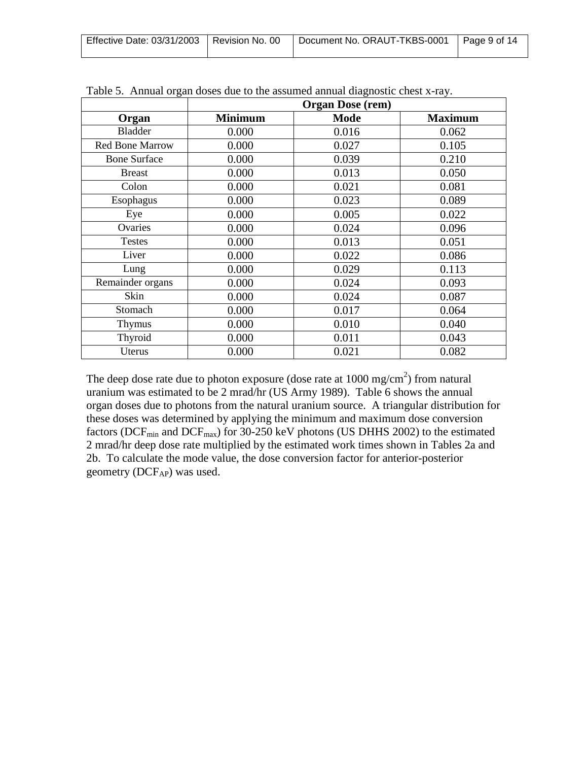| Effective Date: 03/31/2003   Revision No. 00 | Document No. ORAUT-TKBS-0001   Page 9 of 14 |  |
|----------------------------------------------|---------------------------------------------|--|
|                                              |                                             |  |

|                        |                | <b>Organ Dose (rem)</b> |                |
|------------------------|----------------|-------------------------|----------------|
| Organ                  | <b>Minimum</b> | <b>Mode</b>             | <b>Maximum</b> |
| <b>Bladder</b>         | 0.000          | 0.016                   | 0.062          |
| <b>Red Bone Marrow</b> | 0.000          | 0.027                   | 0.105          |
| <b>Bone Surface</b>    | 0.000          | 0.039                   | 0.210          |
| <b>Breast</b>          | 0.000          | 0.013                   | 0.050          |
| Colon                  | 0.000          | 0.021                   | 0.081          |
| Esophagus              | 0.000          | 0.023                   | 0.089          |
| Eye                    | 0.000          | 0.005                   | 0.022          |
| Ovaries                | 0.000          | 0.024                   | 0.096          |
| <b>Testes</b>          | 0.000          | 0.013                   | 0.051          |
| Liver                  | 0.000          | 0.022                   | 0.086          |
| Lung                   | 0.000          | 0.029                   | 0.113          |
| Remainder organs       | 0.000          | 0.024                   | 0.093          |
| Skin                   | 0.000          | 0.024                   | 0.087          |
| Stomach                | 0.000          | 0.017                   | 0.064          |
| <b>Thymus</b>          | 0.000          | 0.010                   | 0.040          |
| Thyroid                | 0.000          | 0.011                   | 0.043          |
| Uterus                 | 0.000          | 0.021                   | 0.082          |

Table 5. Annual organ doses due to the assumed annual diagnostic chest x-ray.

The deep dose rate due to photon exposure (dose rate at  $1000 \text{ mg/cm}^2$ ) from natural uranium was estimated to be 2 mrad/hr (US Army 1989). Table 6 shows the annual organ doses due to photons from the natural uranium source. A triangular distribution for these doses was determined by applying the minimum and maximum dose conversion factors (DCF<sub>min</sub> and DCF<sub>max</sub>) for 30-250 keV photons (US DHHS 2002) to the estimated 2 mrad/hr deep dose rate multiplied by the estimated work times shown in Tables 2a and 2b. To calculate the mode value, the dose conversion factor for anterior-posterior geometry ( $DCF_{AP}$ ) was used.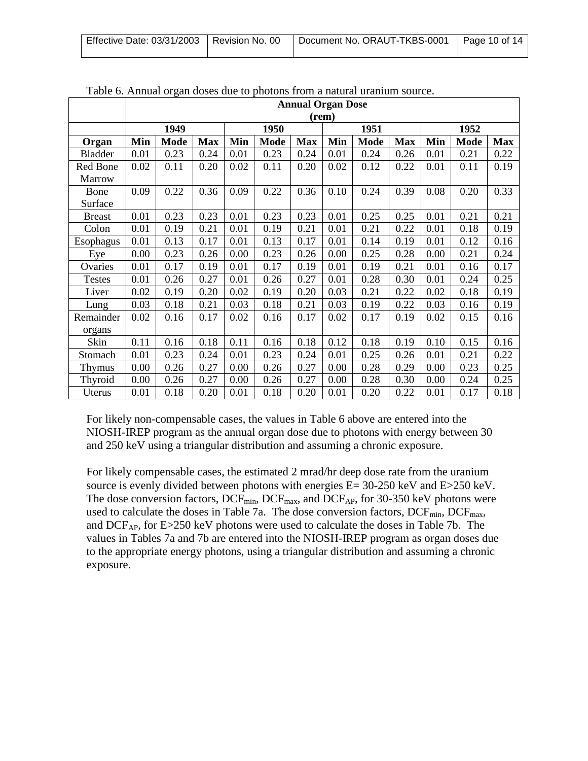| Effective Date: 03/31/2003   Revision No. 00 | Document No. ORAUT-TKBS-0001   Page 10 of 14 |  |
|----------------------------------------------|----------------------------------------------|--|
|                                              |                                              |  |

|                | Tuble 0. Trinique of gan Goses Gue to photons from a natural urament source. |                          |            |      |             |            |      |             |            |      |             |            |
|----------------|------------------------------------------------------------------------------|--------------------------|------------|------|-------------|------------|------|-------------|------------|------|-------------|------------|
|                |                                                                              | <b>Annual Organ Dose</b> |            |      |             |            |      |             |            |      |             |            |
|                |                                                                              | (rem)                    |            |      |             |            |      |             |            |      |             |            |
|                |                                                                              | 1949                     |            |      | 1950        |            |      | 1951        |            | 1952 |             |            |
| Organ          | Min                                                                          | <b>Mode</b>              | <b>Max</b> | Min  | <b>Mode</b> | <b>Max</b> | Min  | <b>Mode</b> | <b>Max</b> | Min  | <b>Mode</b> | <b>Max</b> |
| <b>Bladder</b> | 0.01                                                                         | 0.23                     | 0.24       | 0.01 | 0.23        | 0.24       | 0.01 | 0.24        | 0.26       | 0.01 | 0.21        | 0.22       |
| Red Bone       | 0.02                                                                         | 0.11                     | 0.20       | 0.02 | 0.11        | 0.20       | 0.02 | 0.12        | 0.22       | 0.01 | 0.11        | 0.19       |
| Marrow         |                                                                              |                          |            |      |             |            |      |             |            |      |             |            |
| Bone           | 0.09                                                                         | 0.22                     | 0.36       | 0.09 | 0.22        | 0.36       | 0.10 | 0.24        | 0.39       | 0.08 | 0.20        | 0.33       |
| Surface        |                                                                              |                          |            |      |             |            |      |             |            |      |             |            |
| <b>Breast</b>  | 0.01                                                                         | 0.23                     | 0.23       | 0.01 | 0.23        | 0.23       | 0.01 | 0.25        | 0.25       | 0.01 | 0.21        | 0.21       |
| Colon          | 0.01                                                                         | 0.19                     | 0.21       | 0.01 | 0.19        | 0.21       | 0.01 | 0.21        | 0.22       | 0.01 | 0.18        | 0.19       |
| Esophagus      | 0.01                                                                         | 0.13                     | 0.17       | 0.01 | 0.13        | 0.17       | 0.01 | 0.14        | 0.19       | 0.01 | 0.12        | 0.16       |
| Eye            | 0.00                                                                         | 0.23                     | 0.26       | 0.00 | 0.23        | 0.26       | 0.00 | 0.25        | 0.28       | 0.00 | 0.21        | 0.24       |
| Ovaries        | 0.01                                                                         | 0.17                     | 0.19       | 0.01 | 0.17        | 0.19       | 0.01 | 0.19        | 0.21       | 0.01 | 0.16        | 0.17       |
| <b>Testes</b>  | 0.01                                                                         | 0.26                     | 0.27       | 0.01 | 0.26        | 0.27       | 0.01 | 0.28        | 0.30       | 0.01 | 0.24        | 0.25       |
| Liver          | 0.02                                                                         | 0.19                     | 0.20       | 0.02 | 0.19        | 0.20       | 0.03 | 0.21        | 0.22       | 0.02 | 0.18        | 0.19       |
| Lung           | 0.03                                                                         | 0.18                     | 0.21       | 0.03 | 0.18        | 0.21       | 0.03 | 0.19        | 0.22       | 0.03 | 0.16        | 0.19       |
| Remainder      | 0.02                                                                         | 0.16                     | 0.17       | 0.02 | 0.16        | 0.17       | 0.02 | 0.17        | 0.19       | 0.02 | 0.15        | 0.16       |
| organs         |                                                                              |                          |            |      |             |            |      |             |            |      |             |            |
| Skin           | 0.11                                                                         | 0.16                     | 0.18       | 0.11 | 0.16        | 0.18       | 0.12 | 0.18        | 0.19       | 0.10 | 0.15        | 0.16       |
| Stomach        | 0.01                                                                         | 0.23                     | 0.24       | 0.01 | 0.23        | 0.24       | 0.01 | 0.25        | 0.26       | 0.01 | 0.21        | 0.22       |
| <b>Thymus</b>  | 0.00                                                                         | 0.26                     | 0.27       | 0.00 | 0.26        | 0.27       | 0.00 | 0.28        | 0.29       | 0.00 | 0.23        | 0.25       |
| Thyroid        | 0.00                                                                         | 0.26                     | 0.27       | 0.00 | 0.26        | 0.27       | 0.00 | 0.28        | 0.30       | 0.00 | 0.24        | 0.25       |
| Uterus         | 0.01                                                                         | 0.18                     | 0.20       | 0.01 | 0.18        | 0.20       | 0.01 | 0.20        | 0.22       | 0.01 | 0.17        | 0.18       |

Table 6. Annual organ doses due to photons from a natural uranium source.

For likely non-compensable cases, the values in Table 6 above are entered into the NIOSH-IREP program as the annual organ dose due to photons with energy between 30 and 250 keV using a triangular distribution and assuming a chronic exposure.

For likely compensable cases, the estimated 2 mrad/hr deep dose rate from the uranium source is evenly divided between photons with energies E= 30-250 keV and E>250 keV. The dose conversion factors,  $DCF_{min}$ ,  $DCF_{max}$ , and  $DCF_{AP}$ , for 30-350 keV photons were used to calculate the doses in Table 7a. The dose conversion factors,  $DCF_{min}$ ,  $DCF_{max}$ , and DCF<sub>AP</sub>, for E>250 keV photons were used to calculate the doses in Table 7b. The values in Tables 7a and 7b are entered into the NIOSH-IREP program as organ doses due to the appropriate energy photons, using a triangular distribution and assuming a chronic exposure.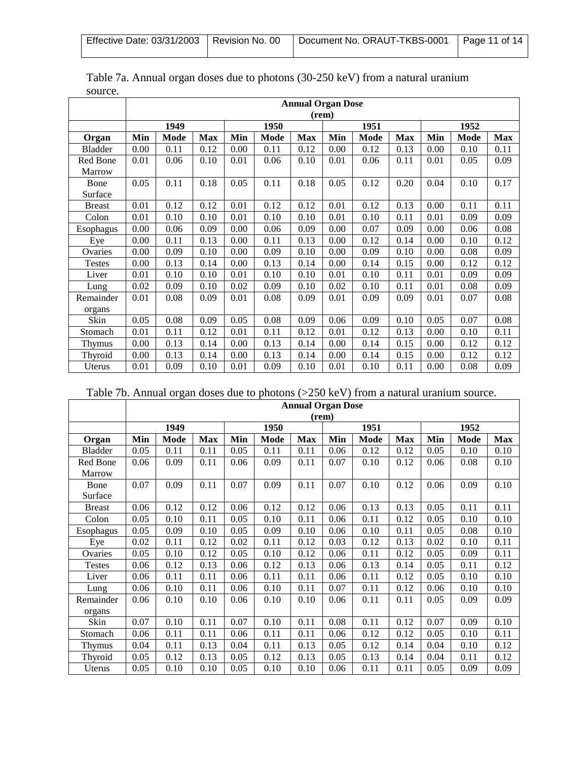|--|

|                | <b>Annual Organ Dose</b> |      |            |      |      |            |      |      |            |      |      |            |
|----------------|--------------------------|------|------------|------|------|------------|------|------|------------|------|------|------------|
|                | (rem)                    |      |            |      |      |            |      |      |            |      |      |            |
|                |                          | 1949 |            |      | 1950 |            |      | 1951 |            |      | 1952 |            |
| Organ          | Min                      | Mode | <b>Max</b> | Min  | Mode | <b>Max</b> | Min  | Mode | <b>Max</b> | Min  | Mode | <b>Max</b> |
| <b>Bladder</b> | 0.00                     | 0.11 | 0.12       | 0.00 | 0.11 | 0.12       | 0.00 | 0.12 | 0.13       | 0.00 | 0.10 | 0.11       |
| Red Bone       | 0.01                     | 0.06 | 0.10       | 0.01 | 0.06 | 0.10       | 0.01 | 0.06 | 0.11       | 0.01 | 0.05 | 0.09       |
| Marrow         |                          |      |            |      |      |            |      |      |            |      |      |            |
| Bone           | 0.05                     | 0.11 | 0.18       | 0.05 | 0.11 | 0.18       | 0.05 | 0.12 | 0.20       | 0.04 | 0.10 | 0.17       |
| Surface        |                          |      |            |      |      |            |      |      |            |      |      |            |
| <b>Breast</b>  | 0.01                     | 0.12 | 0.12       | 0.01 | 0.12 | 0.12       | 0.01 | 0.12 | 0.13       | 0.00 | 0.11 | 0.11       |
| Colon          | 0.01                     | 0.10 | 0.10       | 0.01 | 0.10 | 0.10       | 0.01 | 0.10 | 0.11       | 0.01 | 0.09 | 0.09       |
| Esophagus      | 0.00                     | 0.06 | 0.09       | 0.00 | 0.06 | 0.09       | 0.00 | 0.07 | 0.09       | 0.00 | 0.06 | 0.08       |
| Eye            | 0.00                     | 0.11 | 0.13       | 0.00 | 0.11 | 0.13       | 0.00 | 0.12 | 0.14       | 0.00 | 0.10 | 0.12       |
| Ovaries        | 0.00                     | 0.09 | 0.10       | 0.00 | 0.09 | 0.10       | 0.00 | 0.09 | 0.10       | 0.00 | 0.08 | 0.09       |
| <b>Testes</b>  | 0.00                     | 0.13 | 0.14       | 0.00 | 0.13 | 0.14       | 0.00 | 0.14 | 0.15       | 0.00 | 0.12 | 0.12       |
| Liver          | 0.01                     | 0.10 | 0.10       | 0.01 | 0.10 | 0.10       | 0.01 | 0.10 | 0.11       | 0.01 | 0.09 | 0.09       |
| Lung           | 0.02                     | 0.09 | 0.10       | 0.02 | 0.09 | 0.10       | 0.02 | 0.10 | 0.11       | 0.01 | 0.08 | 0.09       |
| Remainder      | 0.01                     | 0.08 | 0.09       | 0.01 | 0.08 | 0.09       | 0.01 | 0.09 | 0.09       | 0.01 | 0.07 | 0.08       |
| organs         |                          |      |            |      |      |            |      |      |            |      |      |            |
| Skin           | 0.05                     | 0.08 | 0.09       | 0.05 | 0.08 | 0.09       | 0.06 | 0.09 | 0.10       | 0.05 | 0.07 | 0.08       |
| Stomach        | 0.01                     | 0.11 | 0.12       | 0.01 | 0.11 | 0.12       | 0.01 | 0.12 | 0.13       | 0.00 | 0.10 | 0.11       |
| <b>Thymus</b>  | 0.00                     | 0.13 | 0.14       | 0.00 | 0.13 | 0.14       | 0.00 | 0.14 | 0.15       | 0.00 | 0.12 | 0.12       |
| Thyroid        | 0.00                     | 0.13 | 0.14       | 0.00 | 0.13 | 0.14       | 0.00 | 0.14 | 0.15       | 0.00 | 0.12 | 0.12       |
| Uterus         | 0.01                     | 0.09 | 0.10       | 0.01 | 0.09 | 0.10       | 0.01 | 0.10 | 0.11       | 0.00 | 0.08 | 0.09       |

| Table 7a. Annual organ doses due to photons (30-250 keV) from a natural uranium |  |
|---------------------------------------------------------------------------------|--|
| source.                                                                         |  |

|  |  | Table 7b. Annual organ doses due to photons $(>250 \text{ keV})$ from a natural uranium source. |
|--|--|-------------------------------------------------------------------------------------------------|
|  |  |                                                                                                 |
|  |  |                                                                                                 |

|                | <b>Annual Organ Dose</b> |       |            |      |      |            |      |      |            |      |      |            |
|----------------|--------------------------|-------|------------|------|------|------------|------|------|------------|------|------|------------|
|                |                          | (rem) |            |      |      |            |      |      |            |      |      |            |
|                |                          | 1949  |            |      | 1950 |            |      | 1951 |            | 1952 |      |            |
| Organ          | Min                      | Mode  | <b>Max</b> | Min  | Mode | <b>Max</b> | Min  | Mode | <b>Max</b> | Min  | Mode | <b>Max</b> |
| <b>Bladder</b> | 0.05                     | 0.11  | 0.11       | 0.05 | 0.11 | 0.11       | 0.06 | 0.12 | 0.12       | 0.05 | 0.10 | 0.10       |
| Red Bone       | 0.06                     | 0.09  | 0.11       | 0.06 | 0.09 | 0.11       | 0.07 | 0.10 | 0.12       | 0.06 | 0.08 | 0.10       |
| <b>Marrow</b>  |                          |       |            |      |      |            |      |      |            |      |      |            |
| Bone           | 0.07                     | 0.09  | 0.11       | 0.07 | 0.09 | 0.11       | 0.07 | 0.10 | 0.12       | 0.06 | 0.09 | 0.10       |
| Surface        |                          |       |            |      |      |            |      |      |            |      |      |            |
| <b>Breast</b>  | 0.06                     | 0.12  | 0.12       | 0.06 | 0.12 | 0.12       | 0.06 | 0.13 | 0.13       | 0.05 | 0.11 | 0.11       |
| Colon          | 0.05                     | 0.10  | 0.11       | 0.05 | 0.10 | 0.11       | 0.06 | 0.11 | 0.12       | 0.05 | 0.10 | 0.10       |
| Esophagus      | 0.05                     | 0.09  | 0.10       | 0.05 | 0.09 | 0.10       | 0.06 | 0.10 | 0.11       | 0.05 | 0.08 | 0.10       |
| Eye            | 0.02                     | 0.11  | 0.12       | 0.02 | 0.11 | 0.12       | 0.03 | 0.12 | 0.13       | 0.02 | 0.10 | 0.11       |
| Ovaries        | 0.05                     | 0.10  | 0.12       | 0.05 | 0.10 | 0.12       | 0.06 | 0.11 | 0.12       | 0.05 | 0.09 | 0.11       |
| <b>Testes</b>  | 0.06                     | 0.12  | 0.13       | 0.06 | 0.12 | 0.13       | 0.06 | 0.13 | 0.14       | 0.05 | 0.11 | 0.12       |
| Liver          | 0.06                     | 0.11  | 0.11       | 0.06 | 0.11 | 0.11       | 0.06 | 0.11 | 0.12       | 0.05 | 0.10 | 0.10       |
| Lung           | 0.06                     | 0.10  | 0.11       | 0.06 | 0.10 | 0.11       | 0.07 | 0.11 | 0.12       | 0.06 | 0.10 | 0.10       |
| Remainder      | 0.06                     | 0.10  | 0.10       | 0.06 | 0.10 | 0.10       | 0.06 | 0.11 | 0.11       | 0.05 | 0.09 | 0.09       |
| organs         |                          |       |            |      |      |            |      |      |            |      |      |            |
| Skin           | 0.07                     | 0.10  | 0.11       | 0.07 | 0.10 | 0.11       | 0.08 | 0.11 | 0.12       | 0.07 | 0.09 | 0.10       |
| Stomach        | 0.06                     | 0.11  | 0.11       | 0.06 | 0.11 | 0.11       | 0.06 | 0.12 | 0.12       | 0.05 | 0.10 | 0.11       |
| Thymus         | 0.04                     | 0.11  | 0.13       | 0.04 | 0.11 | 0.13       | 0.05 | 0.12 | 0.14       | 0.04 | 0.10 | 0.12       |
| Thyroid        | 0.05                     | 0.12  | 0.13       | 0.05 | 0.12 | 0.13       | 0.05 | 0.13 | 0.14       | 0.04 | 0.11 | 0.12       |
| Uterus         | 0.05                     | 0.10  | 0.10       | 0.05 | 0.10 | 0.10       | 0.06 | 0.11 | 0.11       | 0.05 | 0.09 | 0.09       |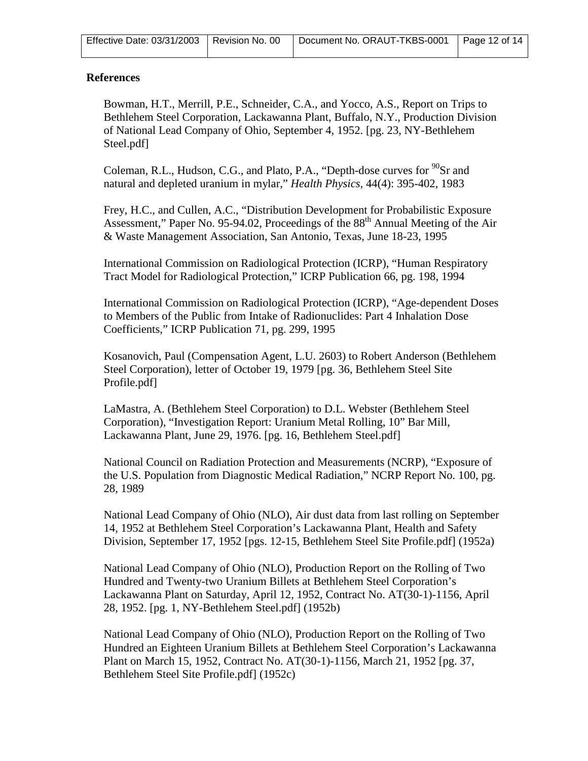| Effective Date: 03/31/2003   Revision No. 00   Document No. ORAUT-TKBS-0001   Page 12 of 14 |  |  |
|---------------------------------------------------------------------------------------------|--|--|
|---------------------------------------------------------------------------------------------|--|--|

#### **References**

Bowman, H.T., Merrill, P.E., Schneider, C.A., and Yocco, A.S., Report on Trips to Bethlehem Steel Corporation, Lackawanna Plant, Buffalo, N.Y., Production Division of National Lead Company of Ohio, September 4, 1952. [pg. 23, NY-Bethlehem Steel.pdf]

Coleman, R.L., Hudson, C.G., and Plato, P.A., "Depth-dose curves for  $^{90}Sr$  and natural and depleted uranium in mylar," *Health Physics*, 44(4): 395-402, 1983

Frey, H.C., and Cullen, A.C., "Distribution Development for Probabilistic Exposure Assessment," Paper No. 95-94.02, Proceedings of the 88<sup>th</sup> Annual Meeting of the Air & Waste Management Association, San Antonio, Texas, June 18-23, 1995

International Commission on Radiological Protection (ICRP), "Human Respiratory Tract Model for Radiological Protection," ICRP Publication 66, pg. 198, 1994

International Commission on Radiological Protection (ICRP), "Age-dependent Doses to Members of the Public from Intake of Radionuclides: Part 4 Inhalation Dose Coefficients," ICRP Publication 71, pg. 299, 1995

Kosanovich, Paul (Compensation Agent, L.U. 2603) to Robert Anderson (Bethlehem Steel Corporation), letter of October 19, 1979 [pg. 36, Bethlehem Steel Site Profile.pdf]

LaMastra, A. (Bethlehem Steel Corporation) to D.L. Webster (Bethlehem Steel Corporation), "Investigation Report: Uranium Metal Rolling, 10" Bar Mill, Lackawanna Plant, June 29, 1976. [pg. 16, Bethlehem Steel.pdf]

National Council on Radiation Protection and Measurements (NCRP), "Exposure of the U.S. Population from Diagnostic Medical Radiation," NCRP Report No. 100, pg. 28, 1989

National Lead Company of Ohio (NLO), Air dust data from last rolling on September 14, 1952 at Bethlehem Steel Corporation's Lackawanna Plant, Health and Safety Division, September 17, 1952 [pgs. 12-15, Bethlehem Steel Site Profile.pdf] (1952a)

National Lead Company of Ohio (NLO), Production Report on the Rolling of Two Hundred and Twenty-two Uranium Billets at Bethlehem Steel Corporation's Lackawanna Plant on Saturday, April 12, 1952, Contract No. AT(30-1)-1156, April 28, 1952. [pg. 1, NY-Bethlehem Steel.pdf] (1952b)

National Lead Company of Ohio (NLO), Production Report on the Rolling of Two Hundred an Eighteen Uranium Billets at Bethlehem Steel Corporation's Lackawanna Plant on March 15, 1952, Contract No. AT(30-1)-1156, March 21, 1952 [pg. 37, Bethlehem Steel Site Profile.pdf] (1952c)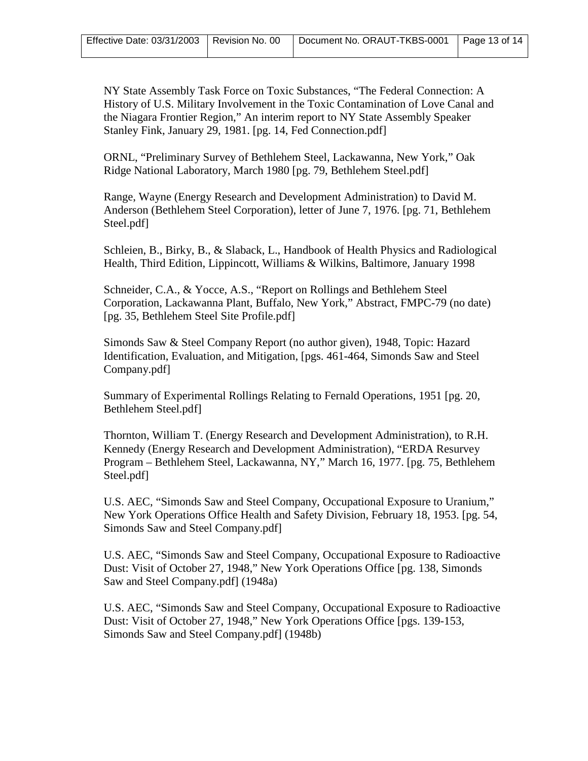NY State Assembly Task Force on Toxic Substances, "The Federal Connection: A History of U.S. Military Involvement in the Toxic Contamination of Love Canal and the Niagara Frontier Region," An interim report to NY State Assembly Speaker Stanley Fink, January 29, 1981. [pg. 14, Fed Connection.pdf]

ORNL, "Preliminary Survey of Bethlehem Steel, Lackawanna, New York," Oak Ridge National Laboratory, March 1980 [pg. 79, Bethlehem Steel.pdf]

Range, Wayne (Energy Research and Development Administration) to David M. Anderson (Bethlehem Steel Corporation), letter of June 7, 1976. [pg. 71, Bethlehem Steel.pdf]

Schleien, B., Birky, B., & Slaback, L., Handbook of Health Physics and Radiological Health, Third Edition, Lippincott, Williams & Wilkins, Baltimore, January 1998

Schneider, C.A., & Yocce, A.S., "Report on Rollings and Bethlehem Steel Corporation, Lackawanna Plant, Buffalo, New York," Abstract, FMPC-79 (no date) [pg. 35, Bethlehem Steel Site Profile.pdf]

Simonds Saw & Steel Company Report (no author given), 1948, Topic: Hazard Identification, Evaluation, and Mitigation, [pgs. 461-464, Simonds Saw and Steel Company.pdf]

Summary of Experimental Rollings Relating to Fernald Operations, 1951 [pg. 20, Bethlehem Steel.pdf]

Thornton, William T. (Energy Research and Development Administration), to R.H. Kennedy (Energy Research and Development Administration), "ERDA Resurvey Program – Bethlehem Steel, Lackawanna, NY," March 16, 1977. [pg. 75, Bethlehem Steel.pdf]

U.S. AEC, "Simonds Saw and Steel Company, Occupational Exposure to Uranium," New York Operations Office Health and Safety Division, February 18, 1953. [pg. 54, Simonds Saw and Steel Company.pdf]

U.S. AEC, "Simonds Saw and Steel Company, Occupational Exposure to Radioactive Dust: Visit of October 27, 1948," New York Operations Office [pg. 138, Simonds Saw and Steel Company.pdf] (1948a)

U.S. AEC, "Simonds Saw and Steel Company, Occupational Exposure to Radioactive Dust: Visit of October 27, 1948," New York Operations Office [pgs. 139-153, Simonds Saw and Steel Company.pdf] (1948b)